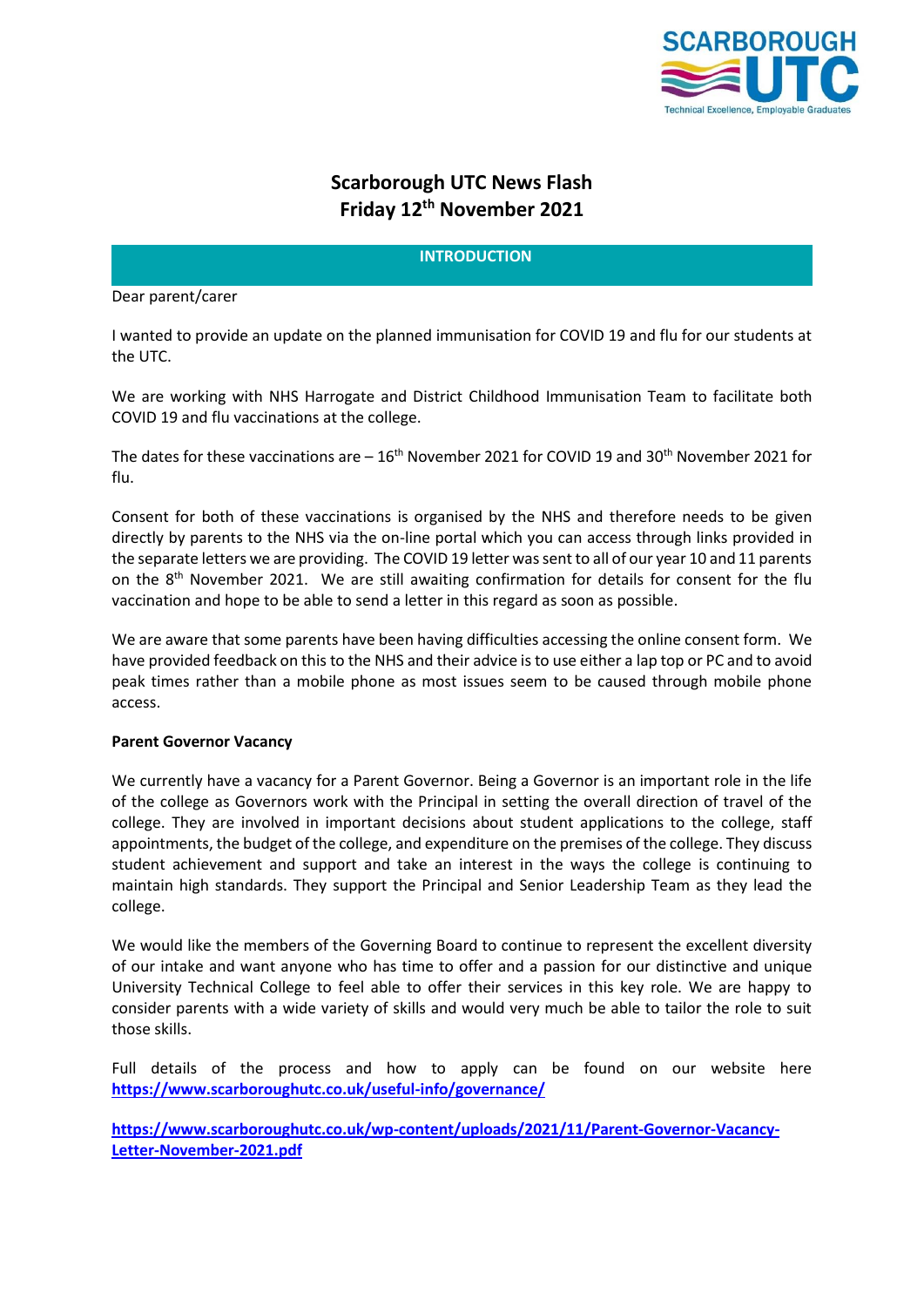

# **Scarborough UTC News Flash Friday 12th November 2021**

## **INTRODUCTION**

#### Dear parent/carer

I wanted to provide an update on the planned immunisation for COVID 19 and flu for our students at the UTC.

We are working with NHS Harrogate and District Childhood Immunisation Team to facilitate both COVID 19 and flu vaccinations at the college.

The dates for these vaccinations are  $-16^{th}$  November 2021 for COVID 19 and 30<sup>th</sup> November 2021 for flu.

Consent for both of these vaccinations is organised by the NHS and therefore needs to be given directly by parents to the NHS via the on-line portal which you can access through links provided in the separate letters we are providing. The COVID 19 letter was sent to all of our year 10 and 11 parents on the 8th November 2021. We are still awaiting confirmation for details for consent for the flu vaccination and hope to be able to send a letter in this regard as soon as possible.

We are aware that some parents have been having difficulties accessing the online consent form. We have provided feedback on this to the NHS and their advice is to use either a lap top or PC and to avoid peak times rather than a mobile phone as most issues seem to be caused through mobile phone access.

## **Parent Governor Vacancy**

We currently have a vacancy for a Parent Governor. Being a Governor is an important role in the life of the college as Governors work with the Principal in setting the overall direction of travel of the college. They are involved in important decisions about student applications to the college, staff appointments, the budget of the college, and expenditure on the premises of the college. They discuss student achievement and support and take an interest in the ways the college is continuing to maintain high standards. They support the Principal and Senior Leadership Team as they lead the college.

We would like the members of the Governing Board to continue to represent the excellent diversity of our intake and want anyone who has time to offer and a passion for our distinctive and unique University Technical College to feel able to offer their services in this key role. We are happy to consider parents with a wide variety of skills and would very much be able to tailor the role to suit those skills.

Full details of the process and how to apply can be found on our website here **<https://www.scarboroughutc.co.uk/useful-info/governance/>**

**[https://www.scarboroughutc.co.uk/wp-content/uploads/2021/11/Parent-Governor-Vacancy-](https://www.scarboroughutc.co.uk/wp-content/uploads/2021/11/Parent-Governor-Vacancy-Letter-November-2021.pdf)[Letter-November-2021.pdf](https://www.scarboroughutc.co.uk/wp-content/uploads/2021/11/Parent-Governor-Vacancy-Letter-November-2021.pdf)**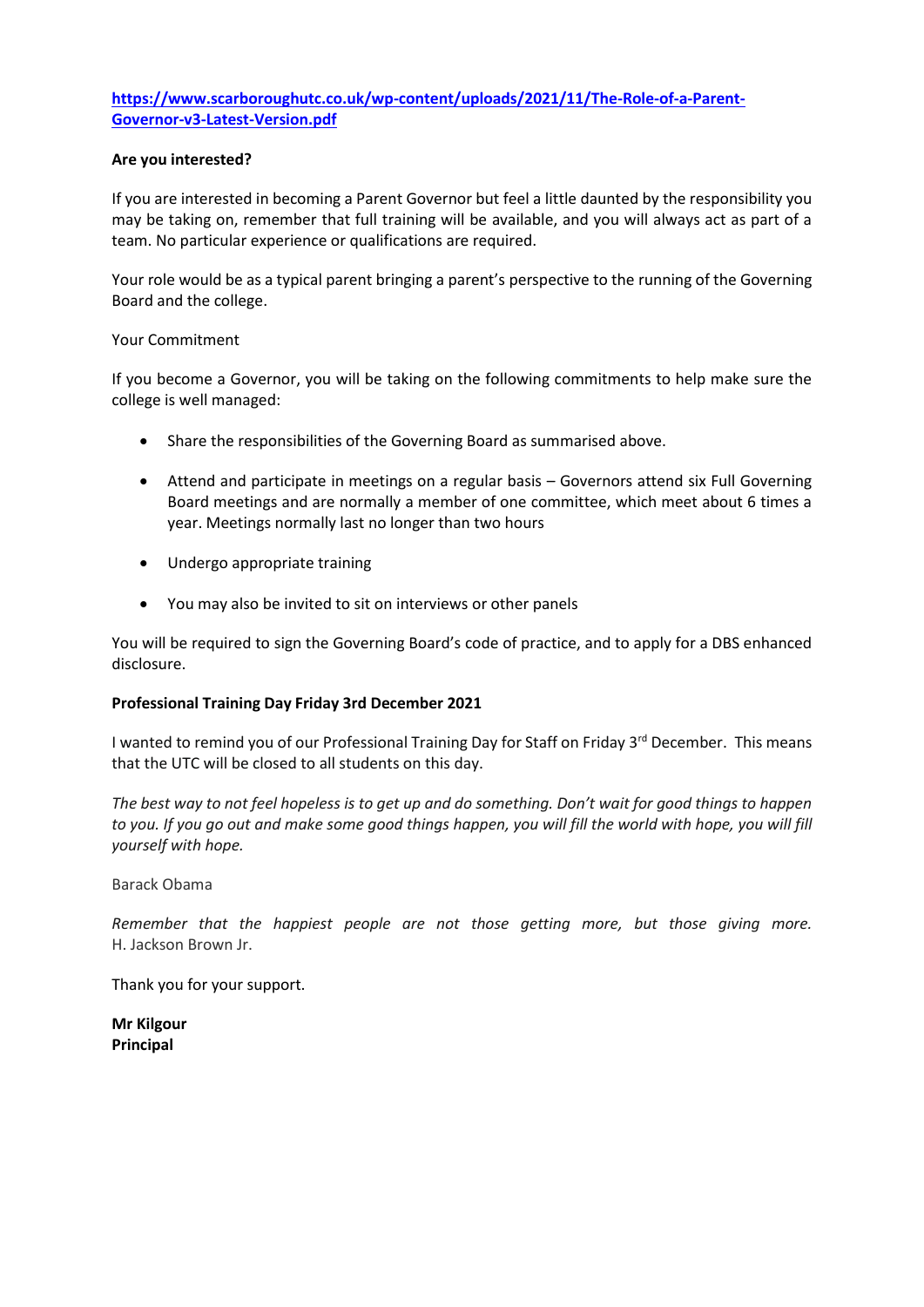# **[https://www.scarboroughutc.co.uk/wp-content/uploads/2021/11/The-Role-of-a-Parent-](https://www.scarboroughutc.co.uk/wp-content/uploads/2021/11/The-Role-of-a-Parent-Governor-v3-Latest-Version.pdf)[Governor-v3-Latest-Version.pdf](https://www.scarboroughutc.co.uk/wp-content/uploads/2021/11/The-Role-of-a-Parent-Governor-v3-Latest-Version.pdf)**

## **Are you interested?**

If you are interested in becoming a Parent Governor but feel a little daunted by the responsibility you may be taking on, remember that full training will be available, and you will always act as part of a team. No particular experience or qualifications are required.

Your role would be as a typical parent bringing a parent's perspective to the running of the Governing Board and the college.

#### Your Commitment

If you become a Governor, you will be taking on the following commitments to help make sure the college is well managed:

- Share the responsibilities of the Governing Board as summarised above.
- Attend and participate in meetings on a regular basis Governors attend six Full Governing Board meetings and are normally a member of one committee, which meet about 6 times a year. Meetings normally last no longer than two hours
- Undergo appropriate training
- You may also be invited to sit on interviews or other panels

You will be required to sign the Governing Board's code of practice, and to apply for a DBS enhanced disclosure.

## **Professional Training Day Friday 3rd December 2021**

I wanted to remind you of our Professional Training Day for Staff on Friday 3<sup>rd</sup> December. This means that the UTC will be closed to all students on this day.

*The best way to not feel hopeless is to get up and do something. Don't wait for good things to happen to you. If you go out and make some good things happen, you will fill the world with hope, you will fill yourself with hope.*

Barack Obama

*Remember that the happiest people are not those getting more, but those giving more.* H. Jackson Brown Jr.

Thank you for your support.

**Mr Kilgour Principal**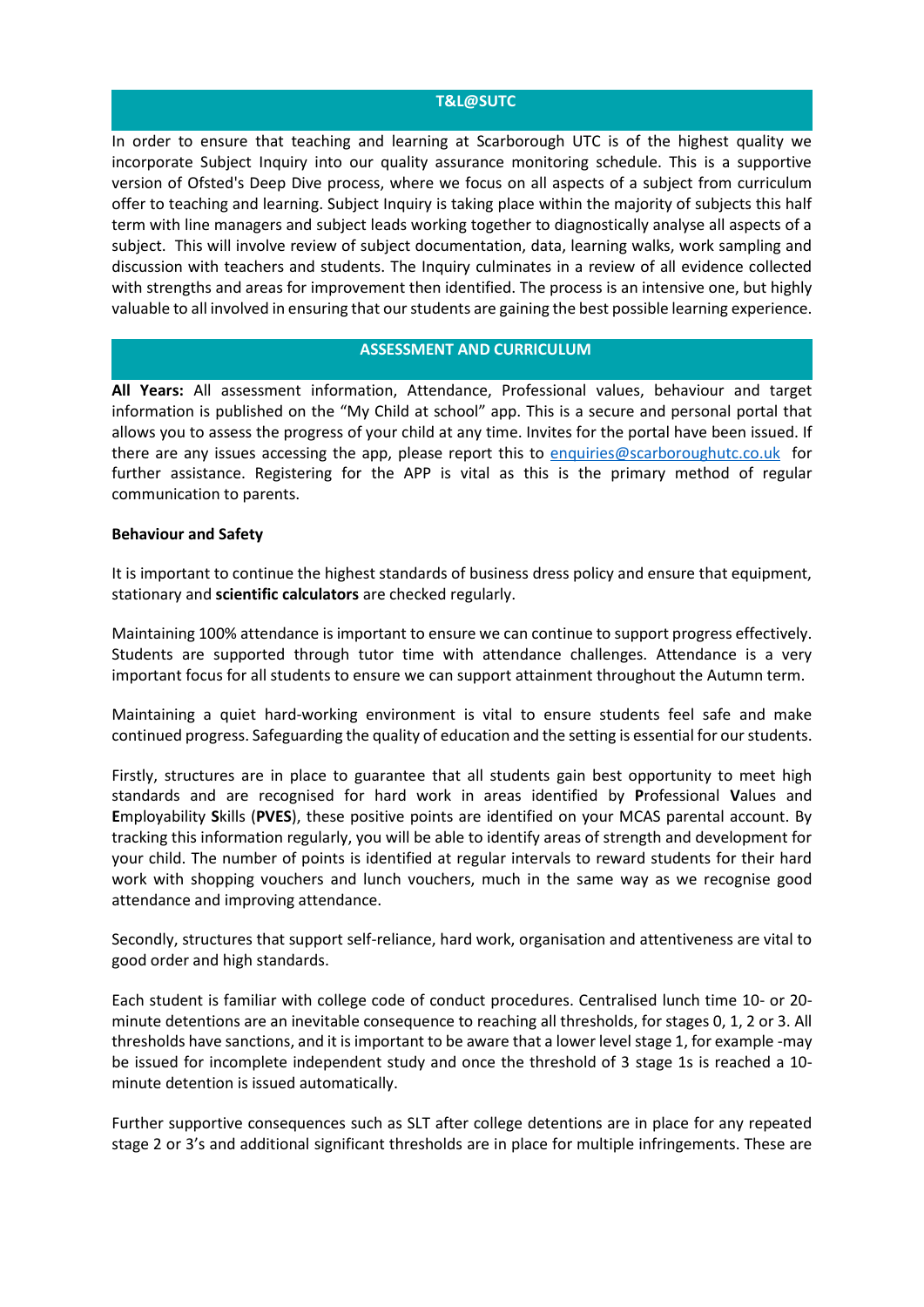#### **T&L@SUTC**

In order to ensure that teaching and learning at Scarborough UTC is of the highest quality we incorporate Subject Inquiry into our quality assurance monitoring schedule. This is a supportive version of Ofsted's Deep Dive process, where we focus on all aspects of a subject from curriculum offer to teaching and learning. Subject Inquiry is taking place within the majority of subjects this half term with line managers and subject leads working together to diagnostically analyse all aspects of a subject. This will involve review of subject documentation, data, learning walks, work sampling and discussion with teachers and students. The Inquiry culminates in a review of all evidence collected with strengths and areas for improvement then identified. The process is an intensive one, but highly valuable to all involved in ensuring that our students are gaining the best possible learning experience.

## **ASSESSMENT AND CURRICULUM**

**All Years:** All assessment information, Attendance, Professional values, behaviour and target information is published on the "My Child at school" app. This is a secure and personal portal that allows you to assess the progress of your child at any time. Invites for the portal have been issued. If there are any issues accessing the app, please report this to [enquiries@scarboroughutc.co.uk](mailto:enquiries@scarboroughutc.co.uk) for further assistance. Registering for the APP is vital as this is the primary method of regular communication to parents.

#### **Behaviour and Safety**

It is important to continue the highest standards of business dress policy and ensure that equipment, stationary and **scientific calculators** are checked regularly.

Maintaining 100% attendance is important to ensure we can continue to support progress effectively. Students are supported through tutor time with attendance challenges. Attendance is a very important focus for all students to ensure we can support attainment throughout the Autumn term.

Maintaining a quiet hard-working environment is vital to ensure students feel safe and make continued progress. Safeguarding the quality of education and the setting is essential for our students.

Firstly, structures are in place to guarantee that all students gain best opportunity to meet high standards and are recognised for hard work in areas identified by **P**rofessional **V**alues and **E**mployability **S**kills (**PVES**), these positive points are identified on your MCAS parental account. By tracking this information regularly, you will be able to identify areas of strength and development for your child. The number of points is identified at regular intervals to reward students for their hard work with shopping vouchers and lunch vouchers, much in the same way as we recognise good attendance and improving attendance.

Secondly, structures that support self-reliance, hard work, organisation and attentiveness are vital to good order and high standards.

Each student is familiar with college code of conduct procedures. Centralised lunch time 10- or 20 minute detentions are an inevitable consequence to reaching all thresholds, for stages 0, 1, 2 or 3. All thresholds have sanctions, and it is important to be aware that a lower level stage 1, for example -may be issued for incomplete independent study and once the threshold of 3 stage 1s is reached a 10 minute detention is issued automatically.

Further supportive consequences such as SLT after college detentions are in place for any repeated stage 2 or 3's and additional significant thresholds are in place for multiple infringements. These are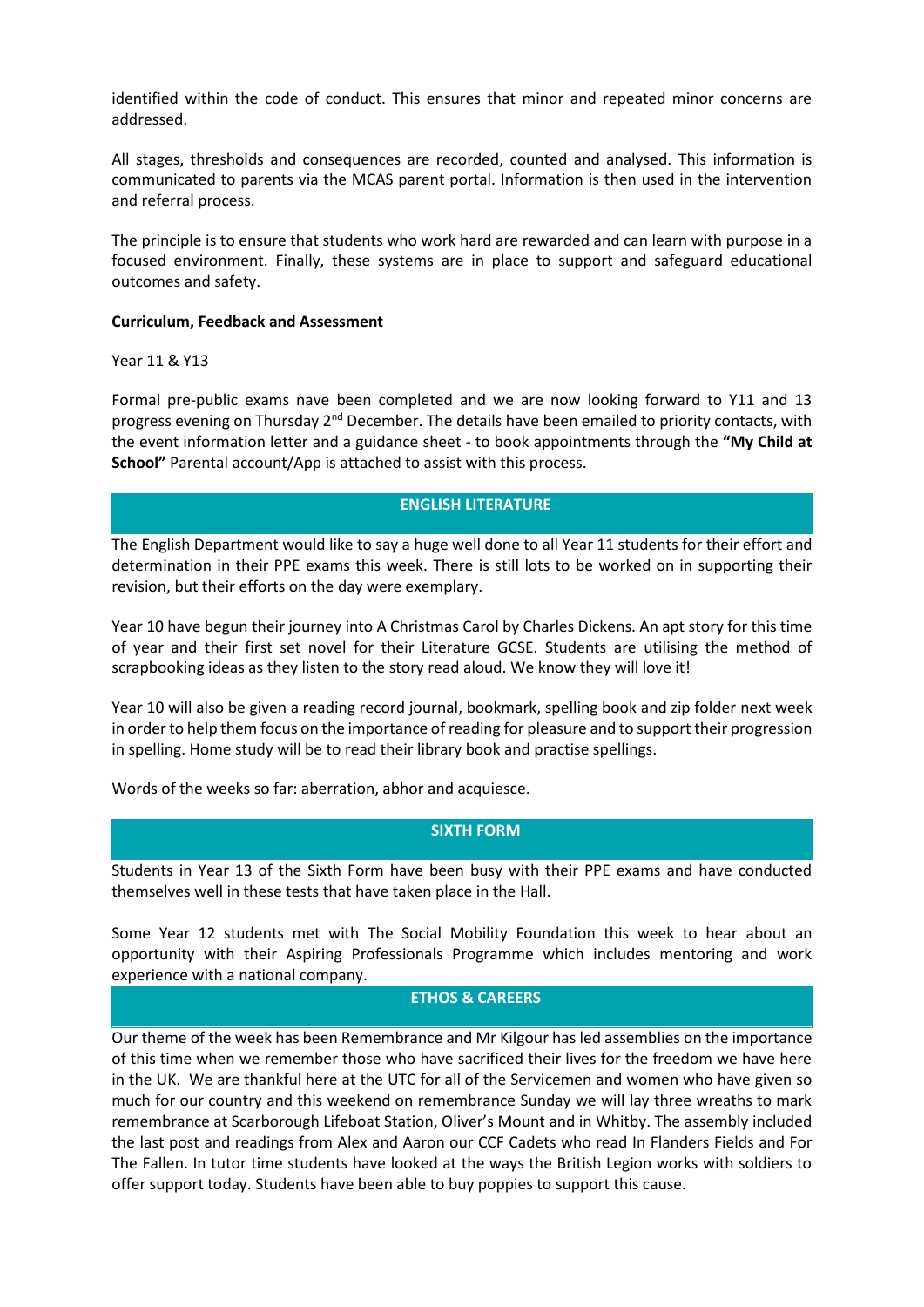identified within the code of conduct. This ensures that minor and repeated minor concerns are addressed.

All stages, thresholds and consequences are recorded, counted and analysed. This information is communicated to parents via the MCAS parent portal. Information is then used in the intervention and referral process.

The principle is to ensure that students who work hard are rewarded and can learn with purpose in a focused environment. Finally, these systems are in place to support and safeguard educational outcomes and safety.

#### **Curriculum, Feedback and Assessment**

Year 11 & Y13

Formal pre-public exams nave been completed and we are now looking forward to Y11 and 13 progress evening on Thursday 2nd December. The details have been emailed to priority contacts, with the event information letter and a guidance sheet - to book appointments through the **"My Child at School"** Parental account/App is attached to assist with this process.

# **ENGLISH LITERATURE**

The English Department would like to say a huge well done to all Year 11 students for their effort and determination in their PPE exams this week. There is still lots to be worked on in supporting their revision, but their efforts on the day were exemplary.

Year 10 have begun their journey into A Christmas Carol by Charles Dickens. An apt story for this time of year and their first set novel for their Literature GCSE. Students are utilising the method of scrapbooking ideas as they listen to the story read aloud. We know they will love it!

Year 10 will also be given a reading record journal, bookmark, spelling book and zip folder next week in order to help them focus on the importance of reading for pleasure and to support their progression in spelling. Home study will be to read their library book and practise spellings.

Words of the weeks so far: aberration, abhor and acquiesce.

## **SIXTH FORM**

Students in Year 13 of the Sixth Form have been busy with their PPE exams and have conducted themselves well in these tests that have taken place in the Hall.

Some Year 12 students met with The Social Mobility Foundation this week to hear about an opportunity with their Aspiring Professionals Programme which includes mentoring and work experience with a national company.

## **ETHOS & CAREERS**

Our theme of the week has been Remembrance and Mr Kilgour has led assemblies on the importance of this time when we remember those who have sacrificed their lives for the freedom we have here in the UK. We are thankful here at the UTC for all of the Servicemen and women who have given so much for our country and this weekend on remembrance Sunday we will lay three wreaths to mark remembrance at Scarborough Lifeboat Station, Oliver's Mount and in Whitby. The assembly included the last post and readings from Alex and Aaron our CCF Cadets who read In Flanders Fields and For The Fallen. In tutor time students have looked at the ways the British Legion works with soldiers to offer support today. Students have been able to buy poppies to support this cause.